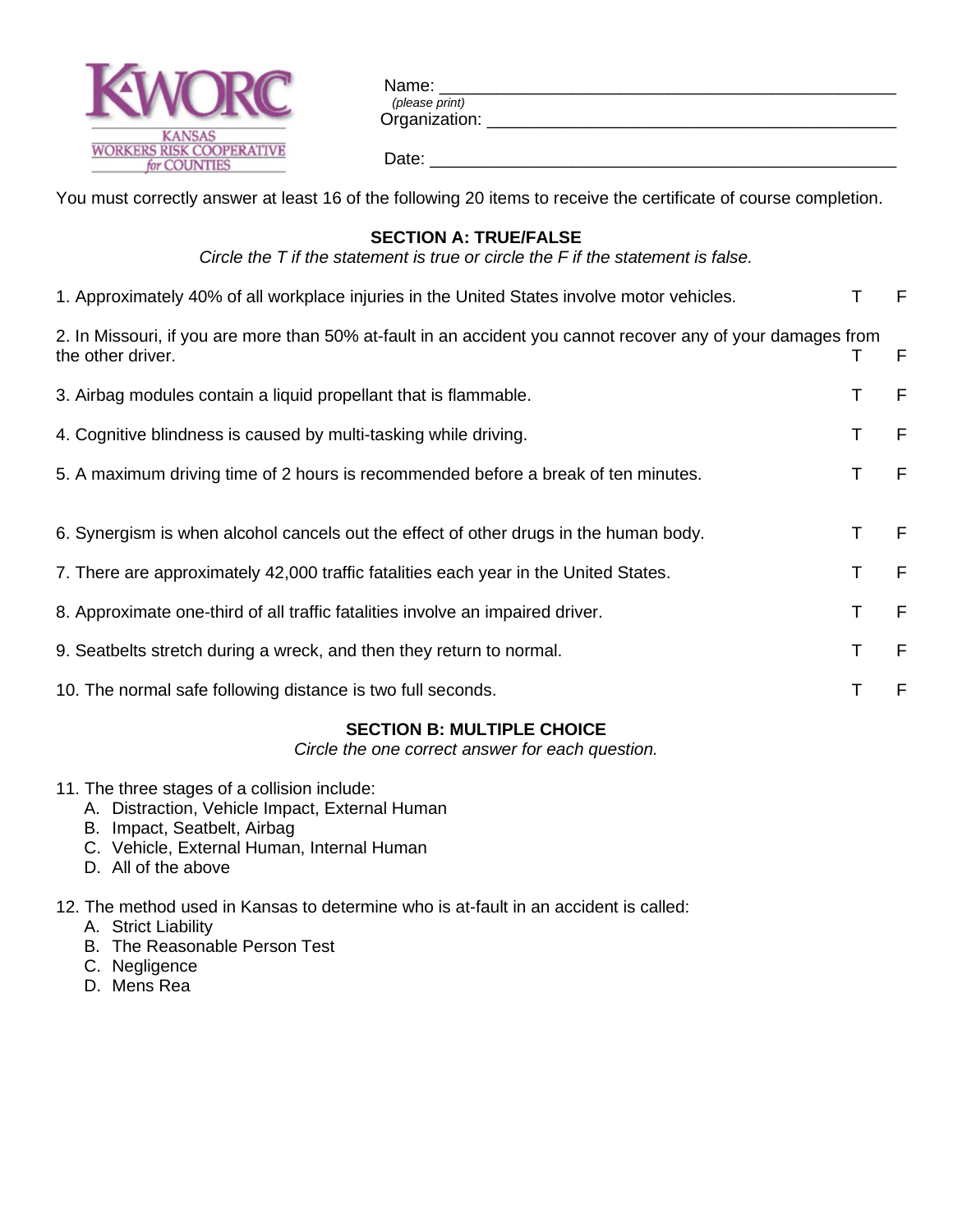

| Name:          |  |  |  |
|----------------|--|--|--|
| (please print) |  |  |  |
| Organization:  |  |  |  |
|                |  |  |  |
| Date:          |  |  |  |

You must correctly answer at least 16 of the following 20 items to receive the certificate of course completion.

## **SECTION A: TRUE/FALSE**

*Circle the T if the statement is true or circle the F if the statement is false.*

| 1. Approximately 40% of all workplace injuries in the United States involve motor vehicles.                                       |   |      |
|-----------------------------------------------------------------------------------------------------------------------------------|---|------|
| 2. In Missouri, if you are more than 50% at-fault in an accident you cannot recover any of your damages from<br>the other driver. | Τ | - F  |
| 3. Airbag modules contain a liquid propellant that is flammable.                                                                  | Τ | F    |
| 4. Cognitive blindness is caused by multi-tasking while driving.                                                                  | т | - F  |
| 5. A maximum driving time of 2 hours is recommended before a break of ten minutes.                                                |   | - F  |
|                                                                                                                                   |   |      |
| 6. Synergism is when alcohol cancels out the effect of other drugs in the human body.                                             |   | - F  |
| 7. There are approximately 42,000 traffic fatalities each year in the United States.                                              |   | $-F$ |
| 8. Approximate one-third of all traffic fatalities involve an impaired driver.                                                    | Τ | -F   |
| 9. Seatbelts stretch during a wreck, and then they return to normal.                                                              |   | - F  |
| 10. The normal safe following distance is two full seconds.                                                                       |   | F    |
|                                                                                                                                   |   |      |

## **SECTION B: MULTIPLE CHOICE**

*Circle the one correct answer for each question.*

- 11. The three stages of a collision include:
	- A. Distraction, Vehicle Impact, External Human
	- B. Impact, Seatbelt, Airbag
	- C. Vehicle, External Human, Internal Human
	- D. All of the above

## 12. The method used in Kansas to determine who is at-fault in an accident is called:

- A. Strict Liability
- B. The Reasonable Person Test
- C. Negligence
- D. Mens Rea